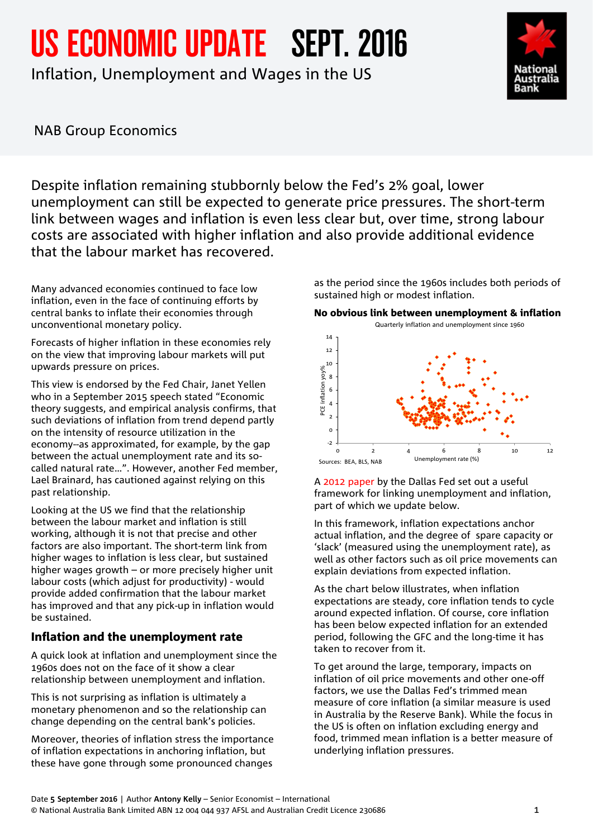US ECONOMIC UPDATE SEPT. 2016

Inflation, Unemployment and Wages in the US



NAB Group Economics

Despite inflation remaining stubbornly below the Fed's 2% goal, lower unemployment can still be expected to generate price pressures. The short-term link between wages and inflation is even less clear but, over time, strong labour costs are associated with higher inflation and also provide additional evidence that the labour market has recovered.

Many advanced economies continued to face low inflation, even in the face of continuing efforts by central banks to inflate their economies through unconventional monetary policy.

Forecasts of higher inflation in these economies rely on the view that improving labour markets will put upwards pressure on prices.

This view is endorsed by the Fed Chair, Janet Yellen who in a September 2015 speech stated "Economic theory suggests, and empirical analysis confirms, that such deviations of inflation from trend depend partly on the intensity of resource utilization in the economy--as approximated, for example, by the gap between the actual unemployment rate and its socalled natural rate…". However, another Fed member, Lael Brainard, has cautioned against relying on this past relationship.

Looking at the US we find that the relationship between the labour market and inflation is still working, although it is not that precise and other factors are also important. The short-term link from higher wages to inflation is less clear, but sustained higher wages growth – or more precisely higher unit labour costs (which adjust for productivity) - would provide added confirmation that the labour market has improved and that any pick-up in inflation would be sustained.

## Inflation and the unemployment rate

A quick look at inflation and unemployment since the 1960s does not on the face of it show a clear relationship between unemployment and inflation.

This is not surprising as inflation is ultimately a monetary phenomenon and so the relationship can change depending on the central bank's policies.

Moreover, theories of inflation stress the importance of inflation expectations in anchoring inflation, but these have gone through some pronounced changes

as the period since the 1960s includes both periods of sustained high or modest inflation.

No obvious link between unemployment & inflation



A [2012 paper b](https://www.dallasfed.org/assets/documents/research/eclett/2012/el1212.pdf)y the Dallas Fed set out a useful framework for linking unemployment and inflation, part of which we update below.

In this framework, inflation expectations anchor actual inflation, and the degree of spare capacity or 'slack' (measured using the unemployment rate), as well as other factors such as oil price movements can explain deviations from expected inflation.

As the chart below illustrates, when inflation expectations are steady, core inflation tends to cycle around expected inflation. Of course, core inflation has been below expected inflation for an extended period, following the GFC and the long-time it has taken to recover from it.

To get around the large, temporary, impacts on inflation of oil price movements and other one-off factors, we use the Dallas Fed's trimmed mean measure of core inflation (a similar measure is used in Australia by the Reserve Bank). While the focus in the US is often on inflation excluding energy and food, trimmed mean inflation is a better measure of underlying inflation pressures.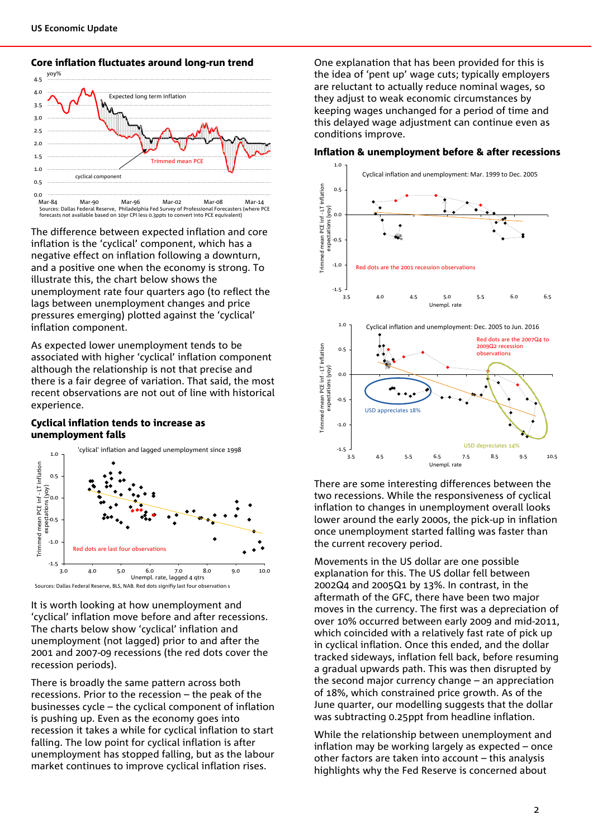

#### Core inflation fluctuates around long-run trend

The difference between expected inflation and core inflation is the 'cyclical' component, which has a negative effect on inflation following a downturn, and a positive one when the economy is strong. To illustrate this, the chart below shows the unemployment rate four quarters ago (to reflect the lags between unemployment changes and price pressures emerging) plotted against the 'cyclical' inflation component.

As expected lower unemployment tends to be associated with higher 'cyclical' inflation component although the relationship is not that precise and there is a fair degree of variation. That said, the most recent observations are not out of line with historical experience.

#### Cyclical inflation tends to increase as unemployment falls



It is worth looking at how unemployment and 'cyclical' inflation move before and after recessions. The charts below show 'cyclical' inflation and unemployment (not lagged) prior to and after the 2001 and 2007-09 recessions (the red dots cover the recession periods).

There is broadly the same pattern across both recessions. Prior to the recession – the peak of the businesses cycle – the cyclical component of inflation is pushing up. Even as the economy goes into recession it takes a while for cyclical inflation to start falling. The low point for cyclical inflation is after unemployment has stopped falling, but as the labour market continues to improve cyclical inflation rises.

One explanation that has been provided for this is the idea of 'pent up' wage cuts; typically employers are reluctant to actually reduce nominal wages, so they adjust to weak economic circumstances by keeping wages unchanged for a period of time and this delayed wage adjustment can continue even as conditions improve.

#### Inflation & unemployment before & after recessions



There are some interesting differences between the two recessions. While the responsiveness of cyclical inflation to changes in unemployment overall looks lower around the early 2000s, the pick-up in inflation once unemployment started falling was faster than the current recovery period.

Movements in the US dollar are one possible explanation for this. The US dollar fell between 2002Q4 and 2005Q1 by 13%. In contrast, in the aftermath of the GFC, there have been two major moves in the currency. The first was a depreciation of over 10% occurred between early 2009 and mid-2011, which coincided with a relatively fast rate of pick up in cyclical inflation. Once this ended, and the dollar tracked sideways, inflation fell back, before resuming a gradual upwards path. This was then disrupted by the second major currency change – an appreciation of 18%, which constrained price growth. As of the June quarter, our modelling suggests that the dollar was subtracting 0.25ppt from headline inflation.

While the relationship between unemployment and inflation may be working largely as expected – once other factors are taken into account – this analysis highlights why the Fed Reserve is concerned about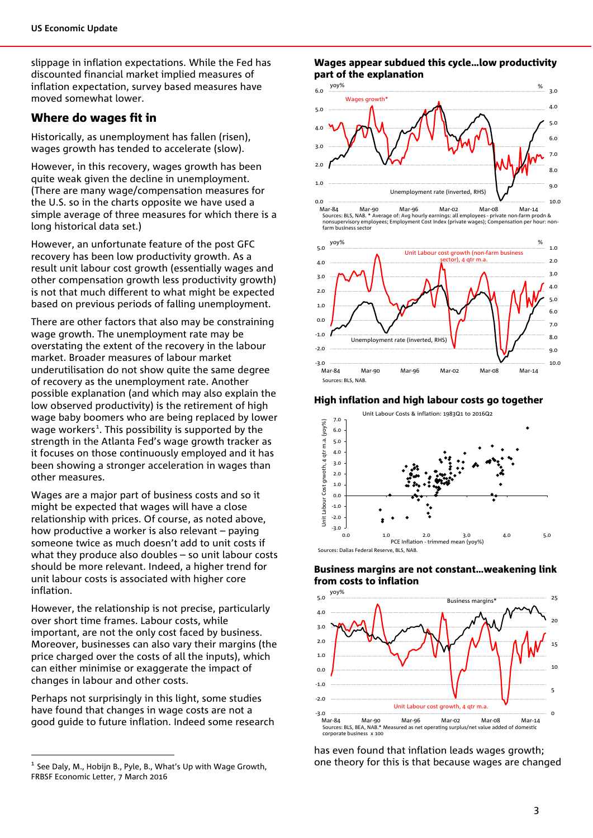slippage in inflation expectations. While the Fed has discounted financial market implied measures of inflation expectation, survey based measures have moved somewhat lower.

### Where do wages fit in

Historically, as unemployment has fallen (risen), wages growth has tended to accelerate (slow).

However, in this recovery, wages growth has been quite weak given the decline in unemployment. (There are many wage/compensation measures for the U.S. so in the charts opposite we have used a simple average of three measures for which there is a long historical data set.)

However, an unfortunate feature of the post GFC recovery has been low productivity growth. As a result unit labour cost growth (essentially wages and other compensation growth less productivity growth) is not that much different to what might be expected based on previous periods of falling unemployment.

There are other factors that also may be constraining wage growth. The unemployment rate may be overstating the extent of the recovery in the labour market. Broader measures of labour market underutilisation do not show quite the same degree of recovery as the unemployment rate. Another possible explanation (and which may also explain the low observed productivity) is the retirement of high wage baby boomers who are being replaced by lower wage workers<sup>[1](#page-2-0)</sup>. This possibility is supported by the strength in the Atlanta Fed's wage growth tracker as it focuses on those continuously employed and it has been showing a stronger acceleration in wages than other measures.

Wages are a major part of business costs and so it might be expected that wages will have a close relationship with prices. Of course, as noted above, how productive a worker is also relevant – paying someone twice as much doesn't add to unit costs if what they produce also doubles – so unit labour costs should be more relevant. Indeed, a higher trend for unit labour costs is associated with higher core inflation.

However, the relationship is not precise, particularly over short time frames. Labour costs, while important, are not the only cost faced by business. Moreover, businesses can also vary their margins (the price charged over the costs of all the inputs), which can either minimise or exaggerate the impact of changes in labour and other costs.

Perhaps not surprisingly in this light, some studies have found that changes in wage costs are not a good guide to future inflation. Indeed some research

#### Wages appear subdued this cycle…low productivity part of the explanation



0.0 10.0 Mar-84 Mar-90 Mar-96 Mar-02 Mar-08 Mar-14 Sources: BLS, NAB. \* Average of: Avg hourly earnings: all employees - private non-farm prodn & nonsupervisory employees; Employment Cost Index (private wages); Compensation per hour: nonfarm business sector



#### High inflation and high labour costs go together







has even found that inflation leads wages growth; one theory for this is that because wages are changed

<span id="page-2-0"></span> $<sup>1</sup>$  See Daly, M., Hobijn B., Pyle, B., What's Up with Wage Growth,</sup> FRBSF Economic Letter, 7 March 2016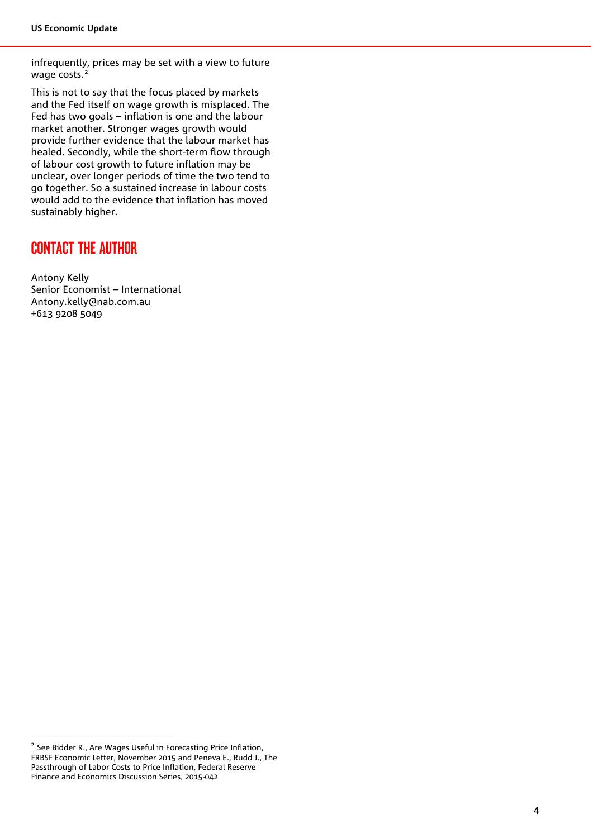infrequently, prices may be set with a view to future wage costs.<sup>[2](#page-3-0)</sup>

This is not to say that the focus placed by markets and the Fed itself on wage growth is misplaced. The Fed has two goals – inflation is one and the labour market another. Stronger wages growth would provide further evidence that the labour market has healed. Secondly, while the short-term flow through of labour cost growth to future inflation may be unclear, over longer periods of time the two tend to go together. So a sustained increase in labour costs would add to the evidence that inflation has moved sustainably higher.

# CONTACT THE AUTHOR

Antony Kelly Senior Economist – International Antony.kelly@nab.com.au +613 9208 5049

<span id="page-3-0"></span><sup>&</sup>lt;sup>2</sup> See Bidder R., Are Wages Useful in Forecasting Price Inflation, FRBSF Economic Letter, November 2015 and Peneva E., Rudd J., The Passthrough of Labor Costs to Price Inflation, Federal Reserve Finance and Economics Discussion Series, 2015-042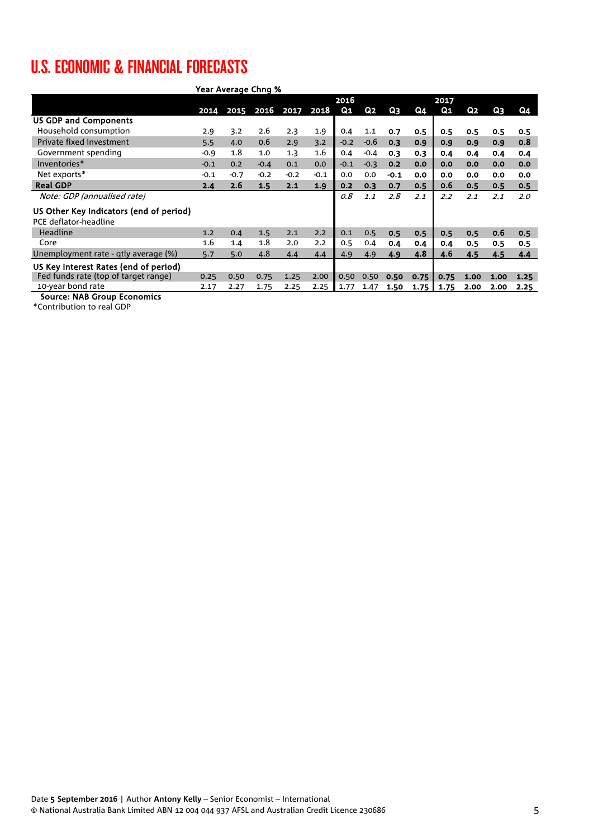# U.S. ECONOMIC & FINANCIAL FORECASTS

| Year Average Chng %                                              |        |        |        |        |        |        |                |        |      |      |      |      |      |  |
|------------------------------------------------------------------|--------|--------|--------|--------|--------|--------|----------------|--------|------|------|------|------|------|--|
|                                                                  |        |        |        |        | 2016   |        |                |        |      | 2017 |      |      |      |  |
|                                                                  | 2014   | 2015   | 2016   | 2017   | 2018   | Q1     | Q <sub>2</sub> | Q3     | Q4   | Q1   | Q2   | Q3   | Q4   |  |
| <b>US GDP and Components</b>                                     |        |        |        |        |        |        |                |        |      |      |      |      |      |  |
| Household consumption                                            | 2.9    | 3.2    | 2.6    | 2.3    | 1.9    | 0.4    | 1.1            | 0.7    | 0.5  | 0.5  | 0.5  | 0.5  | 0.5  |  |
| Private fixed investment                                         | 5.5    | 4.0    | 0.6    | 2.9    | 3.2    | $-0.2$ | $-0.6$         | 0.3    | 0.9  | 0.9  | 0.9  | 0.9  | 0.8  |  |
| Government spending                                              | $-0.9$ | 1.8    | 1.0    | 1.3    | 1.6    | 0.4    | $-0.4$         | 0.3    | 0.3  | 0.4  | 0.4  | 0.4  | 0.4  |  |
| Inventories*                                                     | $-0.1$ | 0.2    | $-0.4$ | 0.1    | 0.0    | $-0.1$ | $-0.3$         | 0.2    | 0.0  | 0.0  | 0.0  | 0.0  | 0.0  |  |
| Net exports*                                                     | $-0.1$ | $-0.7$ | $-0.2$ | $-0.2$ | $-0.1$ | 0.0    | 0.0            | $-0.1$ | 0.0  | 0.0  | 0.0  | 0.0  | 0.0  |  |
| <b>Real GDP</b>                                                  | 2.4    | 2.6    | 1.5    | 2.1    | 1.9    | 0.2    | 0.3            | 0.7    | 0.5  | 0.6  | 0.5  | 0.5  | 0.5  |  |
| Note: GDP (annualised rate)                                      |        |        |        |        |        | 0.8    | 1.1            | 2.8    | 2.1  | 2.2  | 2.1  | 2.1  | 2.0  |  |
| US Other Key Indicators (end of period)<br>PCE deflator-headline |        |        |        |        |        |        |                |        |      |      |      |      |      |  |
| <b>Headline</b>                                                  | 1.2    | 0.4    | 1.5    | 2.1    | 2.2    | 0.1    | 0.5            | 0.5    | 0.5  | 0.5  | 0.5  | 0.6  | 0.5  |  |
| Core                                                             | 1.6    | 1.4    | 1.8    | 2.0    | 2.2    | 0.5    | 0.4            | 0.4    | 0.4  | 0.4  | 0.5  | 0.5  | 0.5  |  |
| Unemployment rate - qtly average (%)                             | 5.7    | 5.0    | 4.8    | 4.4    | 4.4    | 4.9    | 4.9            | 4.9    | 4.8  | 4.6  | 4.5  | 4.5  | 4.4  |  |
| US Key Interest Rates (end of period)                            |        |        |        |        |        |        |                |        |      |      |      |      |      |  |
| Fed funds rate (top of target range)                             | 0.25   | 0.50   | 0.75   | 1.25   | 2.00   | 0.50   | 0.50           | 0.50   | 0.75 | 0.75 | 1.00 | 1.00 | 1.25 |  |
| 10-year bond rate                                                | 2.17   | 2.27   | 1.75   | 2.25   | 2.25   | 1.77   | 1.47           | 1.50   | 1.75 | 1.75 | 2.00 | 2.00 | 2.25 |  |
| Course, NAD Croup Essegnise                                      |        |        |        |        |        |        |                |        |      |      |      |      |      |  |

Source: NAB Group Economics

\*Contribution to real GDP